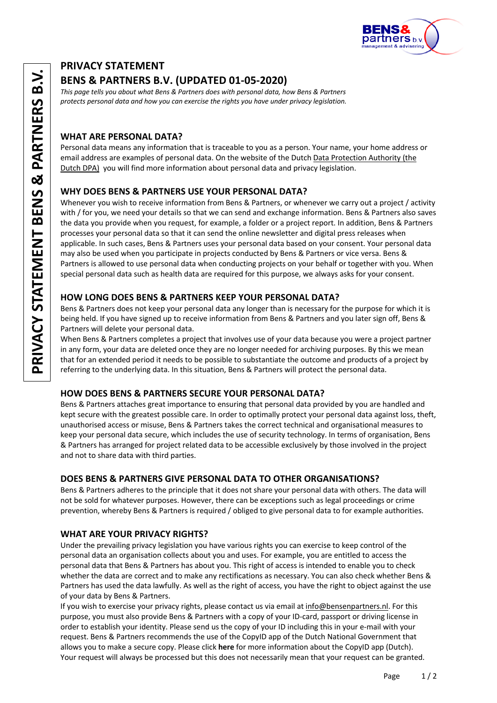

# **PRIVACY STATEMENT**

# **BENS & PARTNERS B.V. (UPDATED 01-05-2020)**

*This page tells you about what Bens & Partners does with personal data, how Bens & Partners protects personal data and how you can exercise the rights you have under privacy legislation.*

## **WHAT ARE PERSONAL DATA?**

Personal data means any information that is traceable to you as a person. Your name, your home address or email address are examples of personal data. On the website of the Dutch Data Protection Authority (the Dutch DPA) you will find more information about personal data and privacy legislation.

## **WHY DOES BENS & PARTNERS USE YOUR PERSONAL DATA?**

Whenever you wish to receive information from Bens & Partners, or whenever we carry out a project / activity with / for you, we need your details so that we can send and exchange information. Bens & Partners also saves the data you provide when you request, for example, a folder or a project report. In addition, Bens & Partners processes your personal data so that it can send the online newsletter and digital press releases when applicable. In such cases, Bens & Partners uses your personal data based on your consent. Your personal data may also be used when you participate in projects conducted by Bens & Partners or vice versa. Bens & Partners is allowed to use personal data when conducting projects on your behalf or together with you. When special personal data such as health data are required for this purpose, we always asks for your consent.

## **HOW LONG DOES BENS & PARTNERS KEEP YOUR PERSONAL DATA?**

Bens & Partners does not keep your personal data any longer than is necessary for the purpose for which it is being held. If you have signed up to receive information from Bens & Partners and you later sign off, Bens & Partners will delete your personal data.

When Bens & Partners completes a project that involves use of your data because you were a project partner in any form, your data are deleted once they are no longer needed for archiving purposes. By this we mean that for an extended period it needs to be possible to substantiate the outcome and products of a project by referring to the underlying data. In this situation, Bens & Partners will protect the personal data.

### **HOW DOES BENS & PARTNERS SECURE YOUR PERSONAL DATA?**

Bens & Partners attaches great importance to ensuring that personal data provided by you are handled and kept secure with the greatest possible care. In order to optimally protect your personal data against loss, theft, unauthorised access or misuse, Bens & Partners takes the correct technical and organisational measures to keep your personal data secure, which includes the use of security technology. In terms of organisation, Bens & Partners has arranged for project related data to be accessible exclusively by those involved in the project and not to share data with third parties.

### **DOES BENS & PARTNERS GIVE PERSONAL DATA TO OTHER ORGANISATIONS?**

Bens & Partners adheres to the principle that it does not share your personal data with others. The data will not be sold for whatever purposes. However, there can be exceptions such as legal proceedings or crime prevention, whereby Bens & Partners is required / obliged to give personal data to for example authorities.

# **WHAT ARE YOUR PRIVACY RIGHTS?**

Under the prevailing privacy legislation you have various rights you can exercise to keep control of the personal data an organisation collects about you and uses. For example, you are entitled to access the personal data that Bens & Partners has about you. This right of access is intended to enable you to check whether the data are correct and to make any rectifications as necessary. You can also check whether Bens & Partners has used the data lawfully. As well as the right of access, you have the right to object against the use of your data by Bens & Partners.

If you wish to exercise your privacy rights, please contact us via email at info@bensenpartners.nl. For this purpose, you must also provide Bens & Partners with a copy of your ID-card, passport or driving license in order to establish your identity. Please send us the copy of your ID including this in your e-mail with your request. Bens & Partners recommends the use of the CopyID app of the Dutch National Government that allows you to make a secure copy. Please click **here** for more information about the CopyID app (Dutch). Your request will always be processed but this does not necessarily mean that your request can be granted.